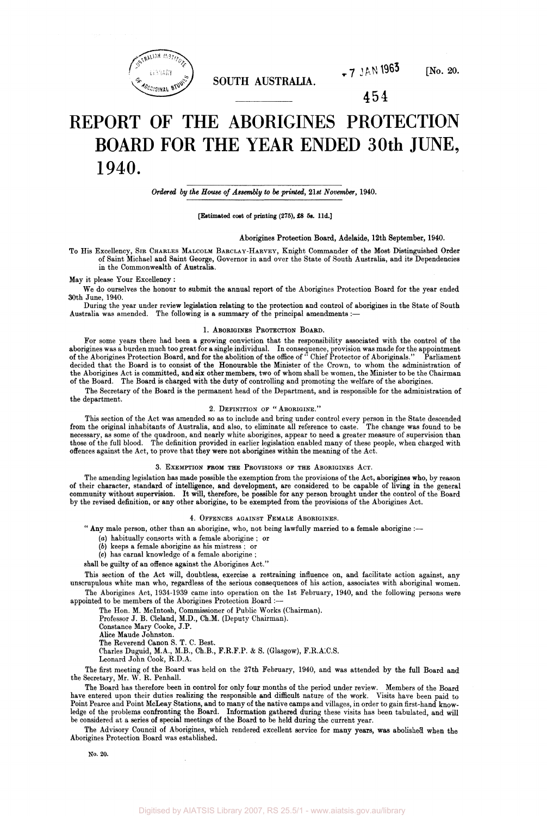

**SOUTH AUSTRALIA.** 

 $-7$  JAN 1963 [No. 20.

454

# REPORT OF THE ABORIGINES PROTECTION BOARD FOR THE YEAR ENDED 30th JUNE, 1940.

*Ordered by the House of Assembly to be printed, 21st November,* 1940.

## [Estimated cost of printing (275), £8 5s. l1d.]

## Aborigines Protection Board, Adelaide, 12th September, 1940.

To His Excellency, SIR CHARLES MALCOLM BARCLAY-HARVEY, Knight Commander of the Most Distinguished Order of Saint Michael and Saint George, Governor in and over the State of South Australia, and its Dependencies in the Commonwealth of Australia.

May it please Your Excellency :

We do ourselves the honour to submit the annual report of the Aborigines Protection Board for the year ended 30th June, 1940.

During the year under review legislation relating to the protection and control of aborigines in the State of South Australia was amended. The following is a summary of the principal amendments :

## 1. ABORIGINES PROTECTION BOARD.

For some years there had been a growing conviction that the responsibility associated with the control of the aborigines was a burden much too great for a single individual. In consequence, provision was made for the appointment of the Aborigines Protection Board, and for the abolition of the office of " Chief Protector of Aboriginals." Parliament decided that the Board is to consist of the Honourable the Minister of the Crown, to whom the administration of the Aborigines Act is committed, and six other members, two of whom shall be women, the Minister to be the Chairman of the Board. The Board is charged with the duty of controlling and promoting the welfare of the aborigines.

The Secretary of the Board is the permanent head of the Department, and is responsible for the administration of the department.

## 2. DEFINITION OF " ABORIGINE."

This section of the Act was amended so as to include and bring under control every person in the State descended from the original inhabitants of Australia, and also, to eliminate all reference to caste. The change was found to be necessary, as some of the quadroon, and nearly white aborigines, appear to need a greater measure of supervision than those of the full blood. The definition provided in earlier legislation enabled many of these people, when charged with offences against the Act, to prove that they were not aborigines within the meaning of the Act.

#### 3. EXEMPTION FROM THE PROVISIONS OF THE ABORIGINES ACT.

The amending legislation has made possible the exemption from the provisions of the Act, aborigines who, by reason of their character, standard of intelligence, and development, are considered to be capable of living in the general community without supervision. It will, therefore, be possible for any person brought under the control of the Board by the revised definition, or any other aborigine, to be exempted from the provisions of the Aborigines Act.

## 4. OFFENCES AGAINST FEMALE ABORIGINES.

" Any male person, other than an aborigine, who, not being lawfully married to a female aborigine :-

- *(a)* habitually consorts with a female aborigine ; or
- *(b)* keeps a female aborigine as his mistress ; or
- (c) has carnal knowledge of a female aborigine ;

shall be guilty of an offence against the Aborigines Act."

This section of the Act will, doubtless, exercise a restraining influence on, and facilitate action against, any unscrupulous white man who, regardless of the serious consequences of his action, associates with aboriginal women. The Aborigines Act, 1934-1939 came into operation on the 1st February, 1940, and the following persons were appointed to be members of the Aborigines Protection Board :—

The Hon. M. Mcintosh, Commissioner of Public Works (Chairman).

Professor J. B. Cleland, M.D., Ch.M. (Deputy Chairman).

Constance Mary Cooke, J.P.

Alice Maude Johnston.

The Reverend Canon S. T. C. Best.

Charles Duguid, M.A., M.B., Ch.B., F.R.F.P. & S. (Glasgow), F.R.A.C.S.

Leonard John Cook, R.D.A.

The first meeting of the Board was held on the 27th February, 1940, and was attended by the full Board and the Secretary, Mr. W. R. Penhall.

The Board has therefore been in control for only four months of the period under review. Members of the Board have entered upon their duties realizing the responsible and difficult nature of the work. Visits have been paid to Point Pearce and Point McLeay Stations, and to many of the native camps and villages, in order to gain first-hand knowledge of the problems confronting the Board. Information gathered during these visits has been tabulated, and will be considered at a series of special meetings of the Board to be held during the current year.

The Advisory Council of Aborigines, which rendered excellent service for many years, was abolished when the Aborigines Protection Board was established.

No. 20.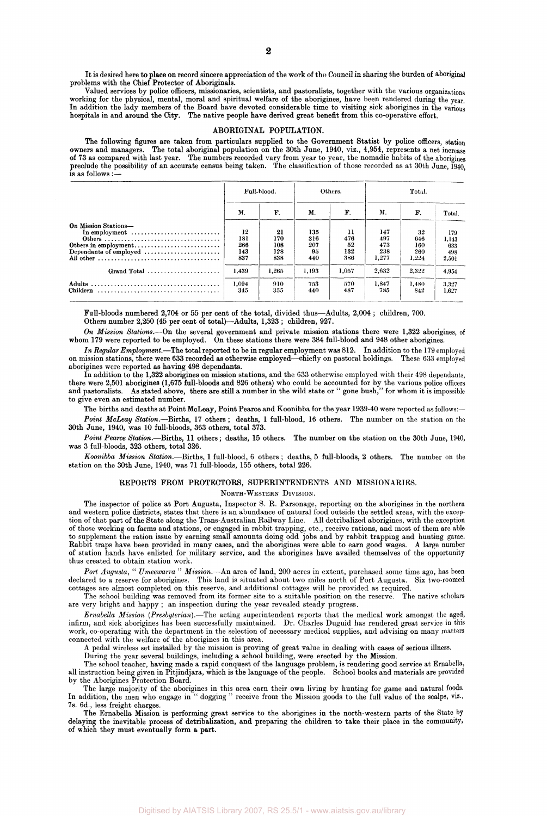It is desired here to place on record sincere appreciation of the work of the Council in sharing the burden of aboriginal problems with the Chief Protector of Aboriginals.

Valued services by police officers, missionaries, scientists, and pastoralists, together with the various organizations working for the physical, mental, moral and spiritual welfare of the aborigines, have been rendered during the year. In addition the lady members of the Board have devoted considerable time to visiting sick aborigines in the various hospitals in and around the City. The native people have derived great benefit from this co-operative effort.

## **ABORIGINAL POPULATION.**

The following figures are taken from particulars supplied to the Government Statist by police officers, station owners and managers. The total aboriginal population on the 30th June, 1940, viz., 4,954, represents a net inc owners and managers. The total aboriginal population on the 30th June, 1940, viz., 4,954, represents a net increase of 73 as compared with last year. The numbers recorded vary from year to year, the nomadic habits of the aborigines preclude the possibility of an accurate census being taken. The classification of those recorded as at 30th June, 1940, is as follows :—

|                                                                                                                    | Full-blood.                    |                                | Others.                        |                               | Total.                            |                                  |                                     |
|--------------------------------------------------------------------------------------------------------------------|--------------------------------|--------------------------------|--------------------------------|-------------------------------|-----------------------------------|----------------------------------|-------------------------------------|
|                                                                                                                    | М.                             | F.                             | М.                             | F.                            | Μ.                                | F.                               | Total.                              |
| On Mission Stations-<br>In employment $\dots\dots\dots\dots\dots\dots\dots\dots\dots\dots$<br>Others in employment | 12<br>181<br>266<br>143<br>837 | 21<br>170<br>108<br>128<br>838 | 135<br>316<br>207<br>95<br>440 | 11<br>476<br>52<br>132<br>386 | 147<br>497<br>473<br>238<br>1.277 | 32<br>646<br>160<br>260<br>1,224 | 179<br>1,143<br>633<br>498<br>2,501 |
| Grand Total<br><b>Children</b>                                                                                     | 1.439<br>1.094<br>345          | 1,265<br>910<br>355            | 1.193<br>753<br>440            | 1,057<br>570<br>487           | 2.632<br>1.847<br>785             | 2,322<br>1.480<br>842            | 4.954<br>3.327<br>1,627             |

Full-bloods numbered 2,704 or 55 per cent of the total, divided thus—Adults, 2,004 ; children, 700. Others number 2,250 (45 per cent of total)—Adults, 1,323 ; children, 927.

*On Mission Stations.*—On the several government and private mission stations there were 1,322 aborigines, of whom 179 were reported to be employed. On these stations there were 384 full-blood and 948 other aborigines.

*In Regular Employment.*—The total reported to be in regular employment was 812. In addition to the 179 employed on mission stations, there were 633 recorded as otherwise employed—chiefly on pastoral holdings. aborigines were reported as having 498 dependants.

In addition to the 1,322 aborigines on mission stations, and the 633 otherwise employed with their 498 dependants, there were 2,501 aborigines (1,675 full-bloods and 826 others) who could be accounted for by the various police officers and pastoralists. As stated above, there are still a number in the wild state or " gone bush," for whom it is impossible to give even an estimated number.

The births and deaths at Point McLeay, Point Pearce and Koonibba for the year 1939-40 were reported as follows:— *Point McLeay Station.*—Births, 17 others ; deaths, 1 full-blood, 16 others. The number on the station on the 30th June, 1940, was 10 full-bloods, 363 others, total 373.

*Point Pearce Station.*—Births, 11 others; deaths, 15 others. The number on the station on the 30th June, 1940, was 3 full-bloods, 323 others, total 326.

*Koonibba Mission Station.*—Births, 1 full-blood, 6 others ; deaths, 5 full-bloods, 2 others. The number on the station on the 30th June, 1940, was 71 full-bloods, 155 others, total 226.

# REPORTS FROM PROTECTORS, SUPERINTENDENTS AND MISSIONARIES.

NORTH-WESTERN DIVISION.

The inspector of police at Port Augusta, Inspector S. R. Parsonage, reporting on the aborigines in the northern and western police districts, states that there is an abundance of natural food outside the settled areas, with the exception of that part of the State along the Trans-Australian Railway Line. All detribalized aborigines, with the exception of those working on farms and stations, or engaged in rabbit trapping, etc., receive rations, and most of them are able to supplement the ration issue by earning small amounts doing odd jobs and by rabbit trapping and hunting game. Rabbit traps have been provided in many cases, and the aborigines were able to earn good wages. A large number of station hands have enlisted for military service, and the aborigines have availed themselves of the opportunity thus created to obtain station work.

*Port Augusta,* " *Umeewarra* " *Mission.*—-An area of land, 200 acres in extent, purchased some time ago, has been declared to a reserve for aborigines. This land is situated about two miles north of Port Augusta. Six two-roomed cottages are almost completed on this reserve, and additional cottages will be provided as required.

The school building was removed from its former site to a suitable position on the reserve. The native scholars are very bright and happy ; an inspection during the year revealed steady progress.

*Ernabella Mission (Presbyterian).*—The acting superintendent reports that the medical work amongst the aged, infirm, and sick aborigines has been successfully maintained. Dr. Charles Duguid has rendered great service in this work, co-operating with the department in the selection of necessary medical supplies, and advising on many matters connected with the welfare of the aborigines in this area.

A pedal wireless set installed by the mission is proving of great value in dealing with cases of serious illness.

During the year several buildings, including a school building, were erected by the Mission. The school teacher, having made a rapid conquest of the language problem, is rendering good service at Ernabella, all instruction being given in Pitjindjara, which is the language of the people. School books and materials are provided by the Aborigines Protection Board.

The large majority of the aborigines in this area earn their own living by hunting for game and natural foods. In addition, the men who engage in " dogging " receive from the Mission goods to the full value of the scalps, viz., 7s. 6d., less freight charges.

The Ernabella Mission is performing great service to the aborigines in the north-western parts of the State by delaying the inevitable process of detribalization, and preparing the children to take their place in the community, of which they must eventually form a part.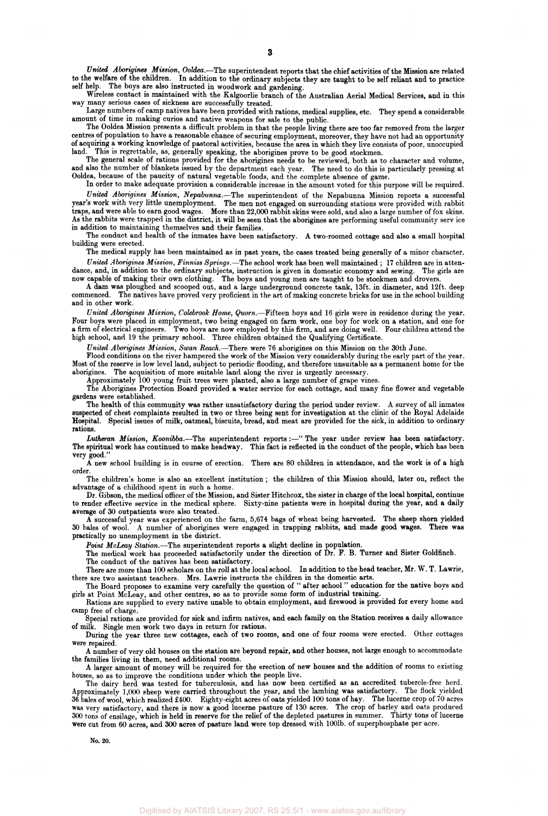*United Aborigines Mission, Ooldea.*—The superintendent reports that the chief activities of the Mission are related to the welfare of the children. In addition to the ordinary subjects they are taught to be self reliant and to practice self help. The boys are also instructed in woodwork and gardening.

Wireless contact is maintained with the Kalgoorlie branch of the Australian Aerial Medical Services, and in this way many serious cases of sickness are successfully treated.

Large numbers of camp natives have been provided with rations, medical supplies, etc. They spend a considerable amount of time in making curios and native weapons for sale to the public.

The Ooldea Mission presents a difficult problem in that the people living there are too far removed from the larger centres of population to have a reasonable chance of securing employment, moreover, they have not had an opportunity of acquiring a working knowledge of pastoral activities, because the area in which they live consists of poor, unoccupied land. This is regrettable, as, generally speaking, the aborigines prove to be good stockmen.

The general scale of rations provided for the aborigines needs to be reviewed, both as to character and volume, and also the number of blankets issued by the department each year. The need to do this is particularly pressing at Ooldea, because of the paucity of natural vegetable foods, and the complete absence of game.

In order to make adequate provision a considerable increase in the amount voted for this purpose will be required. *United Aborigines Mission, Nepabunna.*—The superintendent of the Nepabunna Mission reports a successful year's work with very little unemployment. The men not engaged on surrounding stations were provided with rabbit traps, and were able to earn good wages. More than 22,000 rabbit skins were sold, and also a large number of fox skins. As the rabbits were trapped in the district, it will be seen that the aborigines are performing useful community service in addition to maintaining themselves and their families.

The conduct and health of the inmates have been satisfactory. A two-roomed cottage and also a small hospital building were erected.

The medical supply has been maintained as in past years, the cases treated being generally of a minor character. *United Aborigines Mission, Finniss Springs.*—The school work has been well maintained ; 17 children are in attendance, and, in addition to the ordinary subjects, instruction is given in domestic economy and sewing. The girls are

now capable of making their own clothing. The boys and young men are taught to be stockmen and drovers. A dam was ploughed and scooped out, and a large underground concrete tank, 13ft. in diameter, and 12ft. deep

commenced. The natives have proved very proficient in the art of making concrete bricks for use in the school building and in other work.

*United Aborigines Mission, Colebrook Home, Quorn.*—Fifteen boys and 16 girls were in residence during the year. Four boys were placed in employment, two being engaged on farm work, one boy for work on a station, and one for a firm of electrical engineers. Two boys are now employed by this firm, and are doing well. Four children attend the high school, and 19 the primary school. Three children obtained the Qualifying Certificate.

*United Aborigines Mission, Swan Reach.*—There were 76 aborigines on this Mission on the 30th June.

Flood conditions on the river hampered the work of the Mission very considerably during the early part of the year. Most of the reserve is low level land, subject to periodic flooding, and therefore unsuitable as a permanent home for the aborigines. The acquisition of more suitable land along the river is urgently necessary.

Approximately 100 young fruit trees were planted, also a large number of grape vines.

The Aborigines Protection Board provided a water service for each cottage, and many fine flower and vegetable gardens were established.

The health of this community was rather unsatisfactory during the period under review. A survey of all inmates suspected of chest complaints resulted in two or three being sent for investigation at the clinic of the Royal Adelaide Hospital. Special issues of milk, oatmeal, biscuits, bread, and meat are provided for the sick, in addition to ordinary rations.

*Lutheran Mission, Koonibba.*—The superintendent reports:—" The year under review has been satisfactory. The spiritual work has continued to make headway. This fact is reflected in the conduct of the people, which has been very good."

A new school building is in course of erection. There are 80 children in attendance, and the work is of a high order.

The children's home is also an excellent institution ; the children of this Mission should, later on, reflect the advantage of a childhood spent in such a home.

Dr. Gibson, the medical officer of the Mission, and Sister Hitchcox, the sister in charge of the local hospital, continue to render effective service in the medical sphere. Sixty-nine patients were in hospital during the year, and a daily average of 30 outpatients were also treated.

A successful year was experienced on the farm, 5,674 bags of wheat being harvested. The sheep shorn yielded 30 bales of wool. A number of aborigines were engaged in trapping rabbits, and made good wages. There was practically no unemployment in the district.

*Point McLeay Station.*—The superintendent reports a slight decline in population.

The medical work has proceeded satisfactorily under the direction of Dr. F. B. Turner and Sister Goldfinch. The conduct of the natives has been satisfactory.

There are more than 100 scholars on the roll at the local school. In addition to the head teacher, Mr. W. T. Lawrie, there are two assistant teachers. Mrs. Lawrie instructs the children in the domestic arts.

The Board proposes to examine very carefully the question of " after school " education for the native boys and girls at Point McLeay, and other centres, so as to provide some form of industrial training.

Rations are supplied to every native unable to obtain employment, and firewood is provided for every home and camp free of charge.

Special rations are provided for sick and infirm natives, and each family on the Station receives a daily allowance of milk. Single men work two days in return for rations.

During the year three new cottages, each of two rooms, and one of four rooms were erected. Other cottages were repaired.

A number of very old houses on the station are beyond repair, and other houses, not large enough to accommodate the families living in them, need additional rooms.

A larger amount of money will be required for the erection of new houses and the addition of rooms to existing houses, so as to improve the conditions under which the people live.

The dairy herd was tested for tuberculosis, and has now been certified as an accredited tubercle-free herd. Approximately 1,000 sheep were carried throughout the year, and the lambing was satisfactory. The flock yielded 36 bales of wool, which realized £400. Eighty-eight acres of oats yielded 100 tons of hay. The lucerne crop of 70 acres was very satisfactory, and there is now a good lucerne pasture of 130 acres. The crop of barley and oats produced 300 tons of ensilage, which is held in reserve for the relief of the depleted pastures in summer. Thirty tons of lucerne were cut from 60 acres, and 300 acres of pasture land were top dressed with 1001b. of superphosphate per acre.

No. 20.